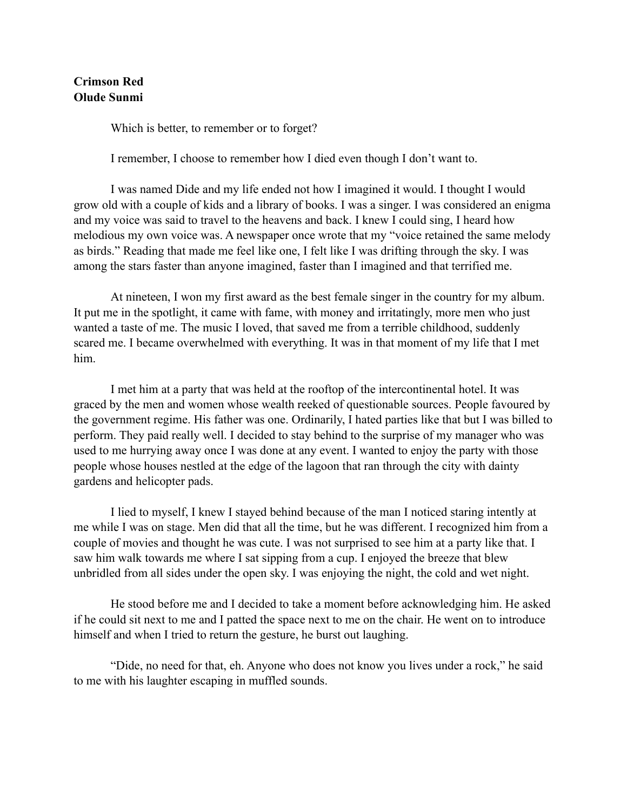## **Crimson Red Olude Sunmi**

Which is better, to remember or to forget?

I remember, I choose to remember how I died even though I don't want to.

 I was named Dide and my life ended not how I imagined it would. I thought I would grow old with a couple of kids and a library of books. I was a singer. I was considered an enigma and my voice was said to travel to the heavens and back. I knew I could sing, I heard how melodious my own voice was. A newspaper once wrote that my "voice retained the same melody as birds." Reading that made me feel like one, I felt like I was drifting through the sky. I was among the stars faster than anyone imagined, faster than I imagined and that terrified me.

 At nineteen, I won my first award as the best female singer in the country for my album. It put me in the spotlight, it came with fame, with money and irritatingly, more men who just wanted a taste of me. The music I loved, that saved me from a terrible childhood, suddenly scared me. I became overwhelmed with everything. It was in that moment of my life that I met him.

 I met him at a party that was held at the rooftop of the intercontinental hotel. It was graced by the men and women whose wealth reeked of questionable sources. People favoured by the government regime. His father was one. Ordinarily, I hated parties like that but I was billed to perform. They paid really well. I decided to stay behind to the surprise of my manager who was used to me hurrying away once I was done at any event. I wanted to enjoy the party with those people whose houses nestled at the edge of the lagoon that ran through the city with dainty gardens and helicopter pads.

 I lied to myself, I knew I stayed behind because of the man I noticed staring intently at me while I was on stage. Men did that all the time, but he was different. I recognized him from a couple of movies and thought he was cute. I was not surprised to see him at a party like that. I saw him walk towards me where I sat sipping from a cup. I enjoyed the breeze that blew unbridled from all sides under the open sky. I was enjoying the night, the cold and wet night.

 He stood before me and I decided to take a moment before acknowledging him. He asked if he could sit next to me and I patted the space next to me on the chair. He went on to introduce himself and when I tried to return the gesture, he burst out laughing.

 "Dide, no need for that, eh. Anyone who does not know you lives under a rock," he said to me with his laughter escaping in muffled sounds.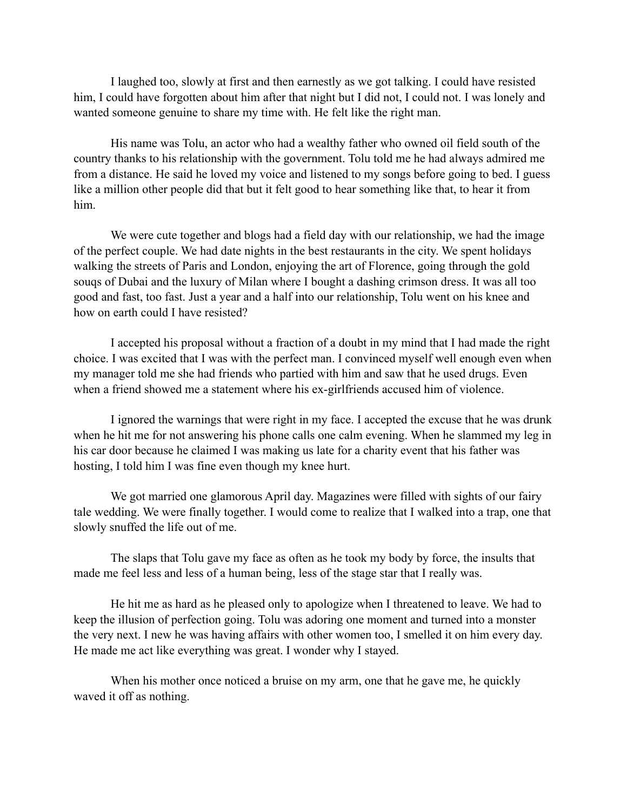I laughed too, slowly at first and then earnestly as we got talking. I could have resisted him, I could have forgotten about him after that night but I did not, I could not. I was lonely and wanted someone genuine to share my time with. He felt like the right man.

 His name was Tolu, an actor who had a wealthy father who owned oil field south of the country thanks to his relationship with the government. Tolu told me he had always admired me from a distance. He said he loved my voice and listened to my songs before going to bed. I guess like a million other people did that but it felt good to hear something like that, to hear it from him.

 We were cute together and blogs had a field day with our relationship, we had the image of the perfect couple. We had date nights in the best restaurants in the city. We spent holidays walking the streets of Paris and London, enjoying the art of Florence, going through the gold souqs of Dubai and the luxury of Milan where I bought a dashing crimson dress. It was all too good and fast, too fast. Just a year and a half into our relationship, Tolu went on his knee and how on earth could I have resisted?

 I accepted his proposal without a fraction of a doubt in my mind that I had made the right choice. I was excited that I was with the perfect man. I convinced myself well enough even when my manager told me she had friends who partied with him and saw that he used drugs. Even when a friend showed me a statement where his ex-girlfriends accused him of violence.

 I ignored the warnings that were right in my face. I accepted the excuse that he was drunk when he hit me for not answering his phone calls one calm evening. When he slammed my leg in his car door because he claimed I was making us late for a charity event that his father was hosting, I told him I was fine even though my knee hurt.

 We got married one glamorous April day. Magazines were filled with sights of our fairy tale wedding. We were finally together. I would come to realize that I walked into a trap, one that slowly snuffed the life out of me.

 The slaps that Tolu gave my face as often as he took my body by force, the insults that made me feel less and less of a human being, less of the stage star that I really was.

 He hit me as hard as he pleased only to apologize when I threatened to leave. We had to keep the illusion of perfection going. Tolu was adoring one moment and turned into a monster the very next. I new he was having affairs with other women too, I smelled it on him every day. He made me act like everything was great. I wonder why I stayed.

When his mother once noticed a bruise on my arm, one that he gave me, he quickly waved it off as nothing.